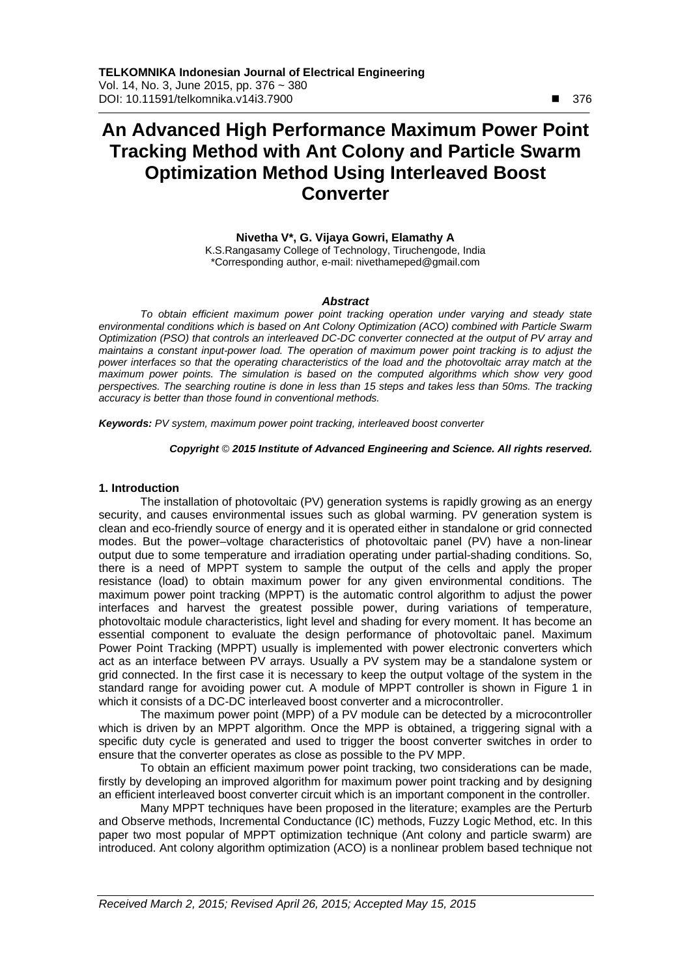# **An Advanced High Performance Maximum Power Point Tracking Method with Ant Colony and Particle Swarm Optimization Method Using Interleaved Boost Converter**

**Nivetha V\*, G. Vijaya Gowri, Elamathy A**  K.S.Rangasamy College of Technology, Tiruchengode, India

\*Corresponding author, e-mail: nivethameped@gmail.com

#### *Abstract*

*To obtain efficient maximum power point tracking operation under varying and steady state environmental conditions which is based on Ant Colony Optimization (ACO) combined with Particle Swarm Optimization (PSO) that controls an interleaved DC-DC converter connected at the output of PV array and maintains a constant input-power load. The operation of maximum power point tracking is to adjust the power interfaces so that the operating characteristics of the load and the photovoltaic array match at the maximum power points. The simulation is based on the computed algorithms which show very good perspectives. The searching routine is done in less than 15 steps and takes less than 50ms. The tracking accuracy is better than those found in conventional methods.* 

*Keywords: PV system, maximum power point tracking, interleaved boost converter*

# *Copyright* © *2015 Institute of Advanced Engineering and Science. All rights reserved.*

### **1. Introduction**

The installation of photovoltaic (PV) generation systems is rapidly growing as an energy security, and causes environmental issues such as global warming. PV generation system is clean and eco-friendly source of energy and it is operated either in standalone or grid connected modes. But the power–voltage characteristics of photovoltaic panel (PV) have a non-linear output due to some temperature and irradiation operating under partial-shading conditions. So, there is a need of MPPT system to sample the output of the cells and apply the proper resistance (load) to obtain maximum power for any given environmental conditions. The maximum power point tracking (MPPT) is the automatic control algorithm to adjust the power interfaces and harvest the greatest possible power, during variations of temperature, photovoltaic module characteristics, light level and shading for every moment. It has become an essential component to evaluate the design performance of photovoltaic panel. Maximum Power Point Tracking (MPPT) usually is implemented with power electronic converters which act as an interface between PV arrays. Usually a PV system may be a standalone system or grid connected. In the first case it is necessary to keep the output voltage of the system in the standard range for avoiding power cut. A module of MPPT controller is shown in Figure 1 in which it consists of a DC-DC interleaved boost converter and a microcontroller.

The maximum power point (MPP) of a PV module can be detected by a microcontroller which is driven by an MPPT algorithm. Once the MPP is obtained, a triggering signal with a specific duty cycle is generated and used to trigger the boost converter switches in order to ensure that the converter operates as close as possible to the PV MPP.

To obtain an efficient maximum power point tracking, two considerations can be made, firstly by developing an improved algorithm for maximum power point tracking and by designing an efficient interleaved boost converter circuit which is an important component in the controller.

Many MPPT techniques have been proposed in the literature; examples are the Perturb and Observe methods, Incremental Conductance (IC) methods, Fuzzy Logic Method, etc. In this paper two most popular of MPPT optimization technique (Ant colony and particle swarm) are introduced. Ant colony algorithm optimization (ACO) is a nonlinear problem based technique not

 $\overline{a}$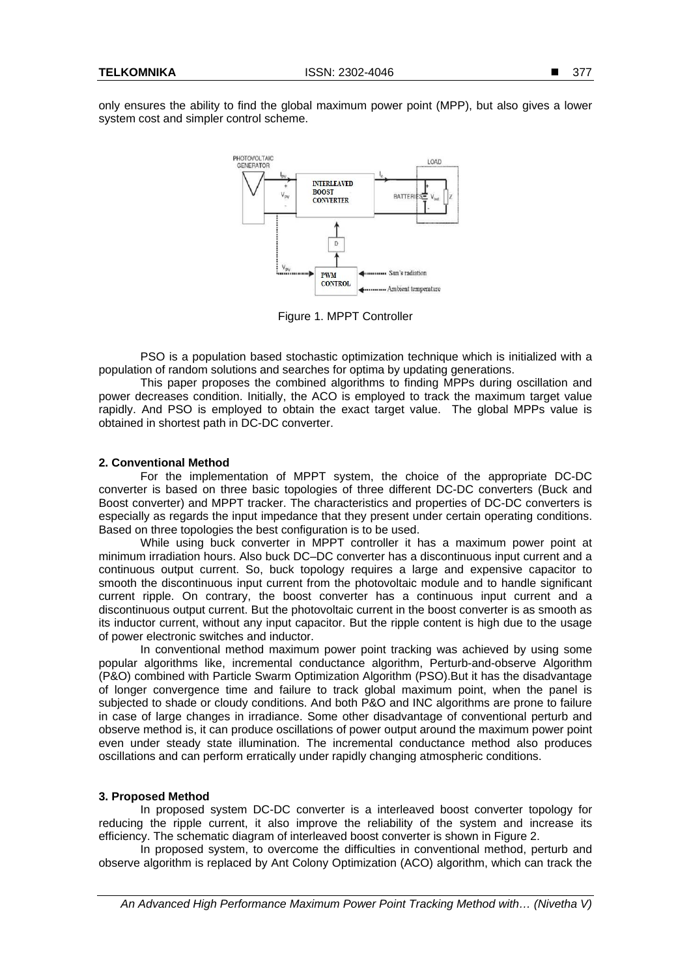

Figure 1. MPPT Controller

PSO is a population based stochastic optimization technique which is initialized with a population of random solutions and searches for optima by updating generations.

This paper proposes the combined algorithms to finding MPPs during oscillation and power decreases condition. Initially, the ACO is employed to track the maximum target value rapidly. And PSO is employed to obtain the exact target value. The global MPPs value is obtained in shortest path in DC-DC converter.

# **2. Conventional Method**

For the implementation of MPPT system, the choice of the appropriate DC-DC converter is based on three basic topologies of three different DC-DC converters (Buck and Boost converter) and MPPT tracker. The characteristics and properties of DC-DC converters is especially as regards the input impedance that they present under certain operating conditions. Based on three topologies the best configuration is to be used.

While using buck converter in MPPT controller it has a maximum power point at minimum irradiation hours. Also buck DC–DC converter has a discontinuous input current and a continuous output current. So, buck topology requires a large and expensive capacitor to smooth the discontinuous input current from the photovoltaic module and to handle significant current ripple. On contrary, the boost converter has a continuous input current and a discontinuous output current. But the photovoltaic current in the boost converter is as smooth as its inductor current, without any input capacitor. But the ripple content is high due to the usage of power electronic switches and inductor.

In conventional method maximum power point tracking was achieved by using some popular algorithms like, incremental conductance algorithm, Perturb-and-observe Algorithm (P&O) combined with Particle Swarm Optimization Algorithm (PSO).But it has the disadvantage of longer convergence time and failure to track global maximum point, when the panel is subjected to shade or cloudy conditions. And both P&O and INC algorithms are prone to failure in case of large changes in irradiance. Some other disadvantage of conventional perturb and observe method is, it can produce oscillations of power output around the maximum power point even under steady state illumination. The incremental conductance method also produces oscillations and can perform erratically under rapidly changing atmospheric conditions.

# **3. Proposed Method**

In proposed system DC-DC converter is a interleaved boost converter topology for reducing the ripple current, it also improve the reliability of the system and increase its efficiency. The schematic diagram of interleaved boost converter is shown in Figure 2.

In proposed system, to overcome the difficulties in conventional method, perturb and observe algorithm is replaced by Ant Colony Optimization (ACO) algorithm, which can track the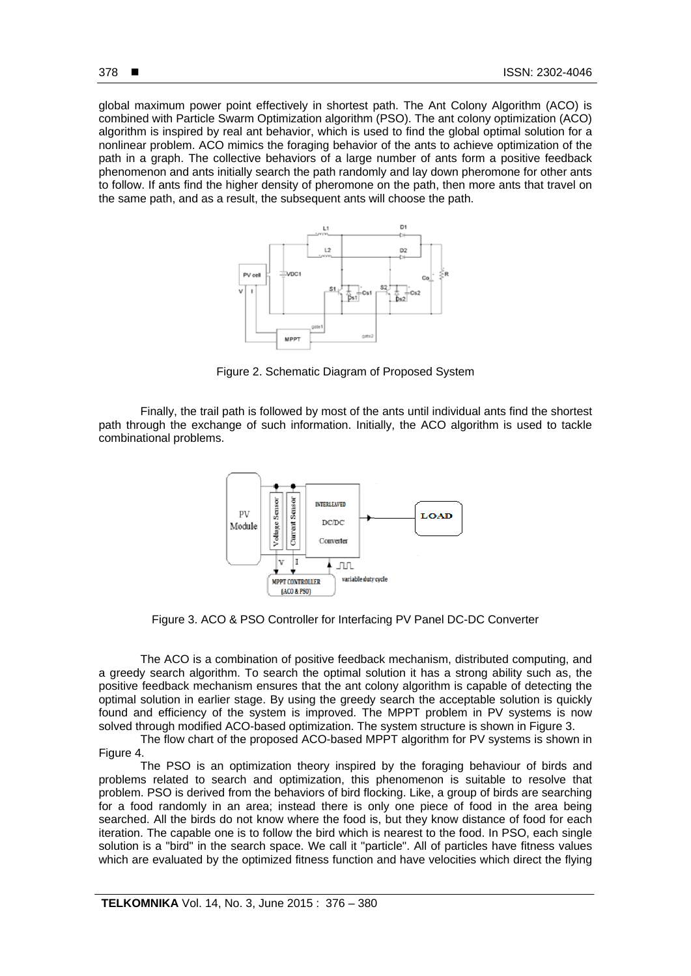global maximum power point effectively in shortest path. The Ant Colony Algorithm (ACO) is combined with Particle Swarm Optimization algorithm (PSO). The ant colony optimization (ACO) algorithm is inspired by real ant behavior, which is used to find the global optimal solution for a nonlinear problem. ACO mimics the foraging behavior of the ants to achieve optimization of the path in a graph. The collective behaviors of a large number of ants form a positive feedback phenomenon and ants initially search the path randomly and lay down pheromone for other ants to follow. If ants find the higher density of pheromone on the path, then more ants that travel on the same path, and as a result, the subsequent ants will choose the path.



Figure 2. Schematic Diagram of Proposed System

Finally, the trail path is followed by most of the ants until individual ants find the shortest path through the exchange of such information. Initially, the ACO algorithm is used to tackle combinational problems.



Figure 3. ACO & PSO Controller for Interfacing PV Panel DC-DC Converter

The ACO is a combination of positive feedback mechanism, distributed computing, and a greedy search algorithm. To search the optimal solution it has a strong ability such as, the positive feedback mechanism ensures that the ant colony algorithm is capable of detecting the optimal solution in earlier stage. By using the greedy search the acceptable solution is quickly found and efficiency of the system is improved. The MPPT problem in PV systems is now solved through modified ACO-based optimization. The system structure is shown in Figure 3.

The flow chart of the proposed ACO-based MPPT algorithm for PV systems is shown in Figure 4.

The PSO is an optimization theory inspired by the foraging behaviour of birds and problems related to search and optimization, this phenomenon is suitable to resolve that problem. PSO is derived from the behaviors of bird flocking. Like, a group of birds are searching for a food randomly in an area; instead there is only one piece of food in the area being searched. All the birds do not know where the food is, but they know distance of food for each iteration. The capable one is to follow the bird which is nearest to the food. In PSO, each single solution is a "bird" in the search space. We call it "particle". All of particles have fitness values which are evaluated by the optimized fitness function and have velocities which direct the flying

ֺ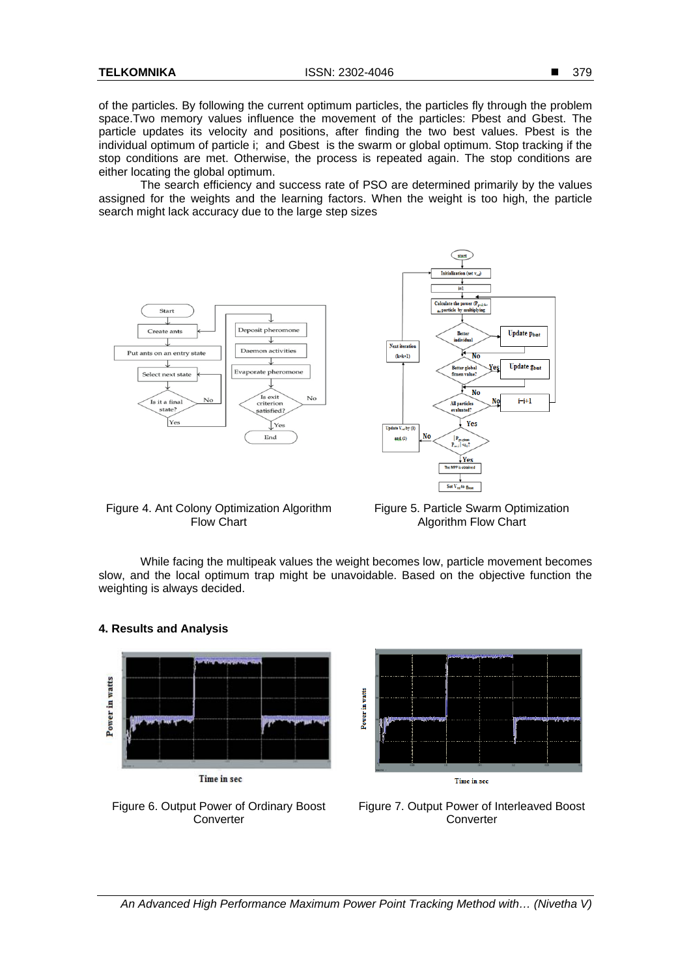of the particles. By following the current optimum particles, the particles fly through the problem space.Two memory values influence the movement of the particles: Pbest and Gbest. The particle updates its velocity and positions, after finding the two best values. Pbest is the individual optimum of particle i; and Gbest is the swarm or global optimum. Stop tracking if the stop conditions are met. Otherwise, the process is repeated again. The stop conditions are either locating the global optimum.

The search efficiency and success rate of PSO are determined primarily by the values assigned for the weights and the learning factors. When the weight is too high, the particle search might lack accuracy due to the large step sizes



Figure 4. Ant Colony Optimization Algorithm Flow Chart

Figure 5. Particle Swarm Optimization Algorithm Flow Chart

While facing the multipeak values the weight becomes low, particle movement becomes slow, and the local optimum trap might be unavoidable. Based on the objective function the weighting is always decided.







Figure 6. Output Power of Ordinary Boost **Converter** 

Figure 7. Output Power of Interleaved Boost **Converter**